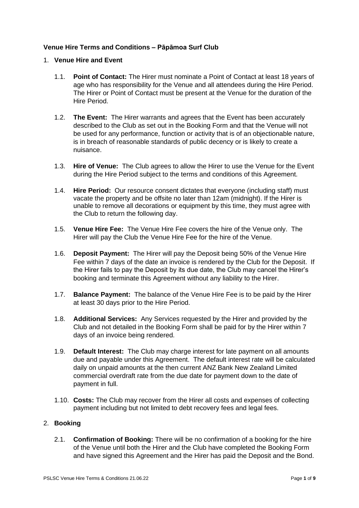# **Venue Hire Terms and Conditions – Pāpāmoa Surf Club**

## 1. **Venue Hire and Event**

- 1.1. **Point of Contact:** The Hirer must nominate a Point of Contact at least 18 years of age who has responsibility for the Venue and all attendees during the Hire Period. The Hirer or Point of Contact must be present at the Venue for the duration of the Hire Period.
- 1.2. **The Event:** The Hirer warrants and agrees that the Event has been accurately described to the Club as set out in the Booking Form and that the Venue will not be used for any performance, function or activity that is of an objectionable nature, is in breach of reasonable standards of public decency or is likely to create a nuisance.
- 1.3. **Hire of Venue:** The Club agrees to allow the Hirer to use the Venue for the Event during the Hire Period subject to the terms and conditions of this Agreement.
- 1.4. **Hire Period:** Our resource consent dictates that everyone (including staff) must vacate the property and be offsite no later than 12am (midnight). If the Hirer is unable to remove all decorations or equipment by this time, they must agree with the Club to return the following day.
- 1.5. **Venue Hire Fee:** The Venue Hire Fee covers the hire of the Venue only. The Hirer will pay the Club the Venue Hire Fee for the hire of the Venue.
- 1.6. **Deposit Payment:** The Hirer will pay the Deposit being 50% of the Venue Hire Fee within 7 days of the date an invoice is rendered by the Club for the Deposit. If the Hirer fails to pay the Deposit by its due date, the Club may cancel the Hirer's booking and terminate this Agreement without any liability to the Hirer.
- 1.7. **Balance Payment:** The balance of the Venue Hire Fee is to be paid by the Hirer at least 30 days prior to the Hire Period.
- 1.8. **Additional Services:** Any Services requested by the Hirer and provided by the Club and not detailed in the Booking Form shall be paid for by the Hirer within 7 days of an invoice being rendered.
- 1.9. **Default Interest:** The Club may charge interest for late payment on all amounts due and payable under this Agreement. The default interest rate will be calculated daily on unpaid amounts at the then current ANZ Bank New Zealand Limited commercial overdraft rate from the due date for payment down to the date of payment in full.
- 1.10. **Costs:** The Club may recover from the Hirer all costs and expenses of collecting payment including but not limited to debt recovery fees and legal fees.

# 2. **Booking**

2.1. **Confirmation of Booking:** There will be no confirmation of a booking for the hire of the Venue until both the Hirer and the Club have completed the Booking Form and have signed this Agreement and the Hirer has paid the Deposit and the Bond.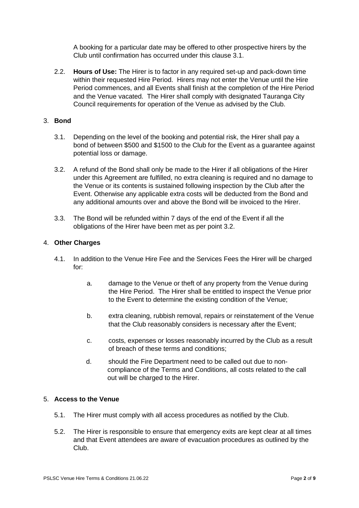A booking for a particular date may be offered to other prospective hirers by the Club until confirmation has occurred under this clause 3.1.

2.2. **Hours of Use:** The Hirer is to factor in any required set-up and pack-down time within their requested Hire Period. Hirers may not enter the Venue until the Hire Period commences, and all Events shall finish at the completion of the Hire Period and the Venue vacated. The Hirer shall comply with designated Tauranga City Council requirements for operation of the Venue as advised by the Club.

## 3. **Bond**

- 3.1. Depending on the level of the booking and potential risk, the Hirer shall pay a bond of between \$500 and \$1500 to the Club for the Event as a guarantee against potential loss or damage.
- 3.2. A refund of the Bond shall only be made to the Hirer if all obligations of the Hirer under this Agreement are fulfilled, no extra cleaning is required and no damage to the Venue or its contents is sustained following inspection by the Club after the Event. Otherwise any applicable extra costs will be deducted from the Bond and any additional amounts over and above the Bond will be invoiced to the Hirer.
- 3.3. The Bond will be refunded within 7 days of the end of the Event if all the obligations of the Hirer have been met as per point 3.2.

### 4. **Other Charges**

- 4.1. In addition to the Venue Hire Fee and the Services Fees the Hirer will be charged for:
	- a. damage to the Venue or theft of any property from the Venue during the Hire Period. The Hirer shall be entitled to inspect the Venue prior to the Event to determine the existing condition of the Venue;
	- b. extra cleaning, rubbish removal, repairs or reinstatement of the Venue that the Club reasonably considers is necessary after the Event;
	- c. costs, expenses or losses reasonably incurred by the Club as a result of breach of these terms and conditions;
	- d. should the Fire Department need to be called out due to noncompliance of the Terms and Conditions, all costs related to the call out will be charged to the Hirer.

#### 5. **Access to the Venue**

- 5.1. The Hirer must comply with all access procedures as notified by the Club.
- 5.2. The Hirer is responsible to ensure that emergency exits are kept clear at all times and that Event attendees are aware of evacuation procedures as outlined by the Club.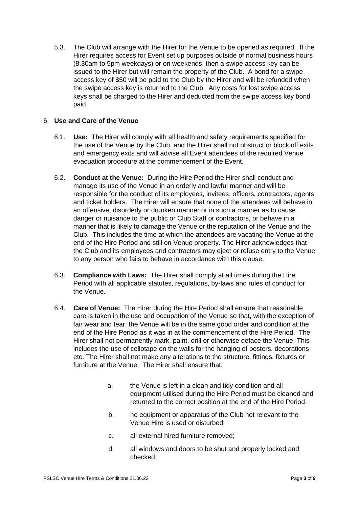5.3. The Club will arrange with the Hirer for the Venue to be opened as required. If the Hirer requires access for Event set up purposes outside of normal business hours (8.30am to 5pm weekdays) or on weekends, then a swipe access key can be issued to the Hirer but will remain the property of the Club. A bond for a swipe access key of \$50 will be paid to the Club by the Hirer and will be refunded when the swipe access key is returned to the Club. Any costs for lost swipe access keys shall be charged to the Hirer and deducted from the swipe access key bond paid.

# 6. **Use and Care of the Venue**

- 6.1. **Use:** The Hirer will comply with all health and safety requirements specified for the use of the Venue by the Club, and the Hirer shall not obstruct or block off exits and emergency exits and will advise all Event attendees of the required Venue evacuation procedure at the commencement of the Event.
- 6.2. **Conduct at the Venue:** During the Hire Period the Hirer shall conduct and manage its use of the Venue in an orderly and lawful manner and will be responsible for the conduct of its employees, invitees, officers, contractors, agents and ticket holders. The Hirer will ensure that none of the attendees will behave in an offensive, disorderly or drunken manner or in such a manner as to cause danger or nuisance to the public or Club Staff or contractors, or behave in a manner that is likely to damage the Venue or the reputation of the Venue and the Club. This includes the time at which the attendees are vacating the Venue at the end of the Hire Period and still on Venue property. The Hirer acknowledges that the Club and its employees and contractors may eject or refuse entry to the Venue to any person who fails to behave in accordance with this clause.
- 6.3. **Compliance with Laws:** The Hirer shall comply at all times during the Hire Period with all applicable statutes, regulations, by-laws and rules of conduct for the Venue.
- 6.4. **Care of Venue:** The Hirer during the Hire Period shall ensure that reasonable care is taken in the use and occupation of the Venue so that, with the exception of fair wear and tear, the Venue will be in the same good order and condition at the end of the Hire Period as it was in at the commencement of the Hire Period. The Hirer shall not permanently mark, paint, drill or otherwise deface the Venue. This includes the use of cellotape on the walls for the hanging of posters, decorations etc. The Hirer shall not make any alterations to the structure, fittings, fixtures or furniture at the Venue. The Hirer shall ensure that:
	- a. the Venue is left in a clean and tidy condition and all equipment utilised during the Hire Period must be cleaned and returned to the correct position at the end of the Hire Period;
	- b. no equipment or apparatus of the Club not relevant to the Venue Hire is used or disturbed;
	- c. all external hired furniture removed;
	- d. all windows and doors to be shut and properly locked and checked;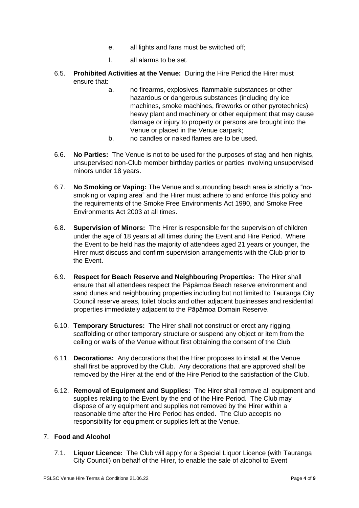- e. all lights and fans must be switched off;
- f. all alarms to be set.
- 6.5. **Prohibited Activities at the Venue:** During the Hire Period the Hirer must ensure that:
	- a. no firearms, explosives, flammable substances or other hazardous or dangerous substances (including dry ice machines, smoke machines, fireworks or other pyrotechnics) heavy plant and machinery or other equipment that may cause damage or injury to property or persons are brought into the Venue or placed in the Venue carpark;
	- b. no candles or naked flames are to be used.
- 6.6. **No Parties:** The Venue is not to be used for the purposes of stag and hen nights, unsupervised non-Club member birthday parties or parties involving unsupervised minors under 18 years.
- 6.7. **No Smoking or Vaping:** The Venue and surrounding beach area is strictly a "nosmoking or vaping area" and the Hirer must adhere to and enforce this policy and the requirements of the Smoke Free Environments Act 1990, and Smoke Free Environments Act 2003 at all times.
- 6.8. **Supervision of Minors:** The Hirer is responsible for the supervision of children under the age of 18 years at all times during the Event and Hire Period. Where the Event to be held has the majority of attendees aged 21 years or younger, the Hirer must discuss and confirm supervision arrangements with the Club prior to the Event.
- 6.9. **Respect for Beach Reserve and Neighbouring Properties:** The Hirer shall ensure that all attendees respect the Pāpāmoa Beach reserve environment and sand dunes and neighbouring properties including but not limited to Tauranga City Council reserve areas, toilet blocks and other adjacent businesses and residential properties immediately adjacent to the Pāpāmoa Domain Reserve.
- 6.10. **Temporary Structures:** The Hirer shall not construct or erect any rigging, scaffolding or other temporary structure or suspend any object or item from the ceiling or walls of the Venue without first obtaining the consent of the Club.
- 6.11. **Decorations:** Any decorations that the Hirer proposes to install at the Venue shall first be approved by the Club. Any decorations that are approved shall be removed by the Hirer at the end of the Hire Period to the satisfaction of the Club.
- 6.12. **Removal of Equipment and Supplies:** The Hirer shall remove all equipment and supplies relating to the Event by the end of the Hire Period. The Club may dispose of any equipment and supplies not removed by the Hirer within a reasonable time after the Hire Period has ended. The Club accepts no responsibility for equipment or supplies left at the Venue.

# 7. **Food and Alcohol**

7.1. **Liquor Licence:** The Club will apply for a Special Liquor Licence (with Tauranga City Council) on behalf of the Hirer, to enable the sale of alcohol to Event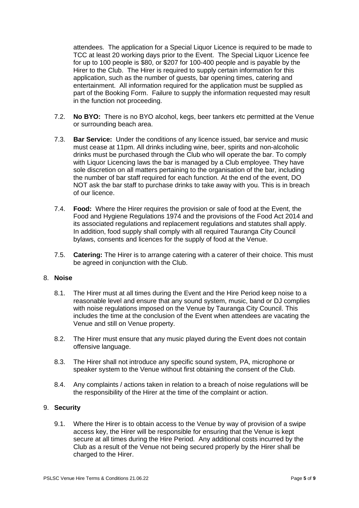attendees. The application for a Special Liquor Licence is required to be made to TCC at least 20 working days prior to the Event. The Special Liquor Licence fee for up to 100 people is \$80, or \$207 for 100-400 people and is payable by the Hirer to the Club. The Hirer is required to supply certain information for this application, such as the number of guests, bar opening times, catering and entertainment. All information required for the application must be supplied as part of the Booking Form. Failure to supply the information requested may result in the function not proceeding.

- 7.2. **No BYO:** There is no BYO alcohol, kegs, beer tankers etc permitted at the Venue or surrounding beach area.
- 7.3. **Bar Service:** Under the conditions of any licence issued, bar service and music must cease at 11pm. All drinks including wine, beer, spirits and non-alcoholic drinks must be purchased through the Club who will operate the bar. To comply with Liquor Licencing laws the bar is managed by a Club employee. They have sole discretion on all matters pertaining to the organisation of the bar, including the number of bar staff required for each function. At the end of the event, DO NOT ask the bar staff to purchase drinks to take away with you. This is in breach of our licence.
- 7.4. **Food:** Where the Hirer requires the provision or sale of food at the Event, the Food and Hygiene Regulations 1974 and the provisions of the Food Act 2014 and its associated regulations and replacement regulations and statutes shall apply. In addition, food supply shall comply with all required Tauranga City Council bylaws, consents and licences for the supply of food at the Venue.
- 7.5. **Catering:** The Hirer is to arrange catering with a caterer of their choice. This must be agreed in conjunction with the Club.

#### 8. **Noise**

- 8.1. The Hirer must at all times during the Event and the Hire Period keep noise to a reasonable level and ensure that any sound system, music, band or DJ complies with noise regulations imposed on the Venue by Tauranga City Council. This includes the time at the conclusion of the Event when attendees are vacating the Venue and still on Venue property.
- 8.2. The Hirer must ensure that any music played during the Event does not contain offensive language.
- 8.3. The Hirer shall not introduce any specific sound system, PA, microphone or speaker system to the Venue without first obtaining the consent of the Club.
- 8.4. Any complaints / actions taken in relation to a breach of noise regulations will be the responsibility of the Hirer at the time of the complaint or action.

#### 9. **Security**

9.1. Where the Hirer is to obtain access to the Venue by way of provision of a swipe access key, the Hirer will be responsible for ensuring that the Venue is kept secure at all times during the Hire Period. Any additional costs incurred by the Club as a result of the Venue not being secured properly by the Hirer shall be charged to the Hirer.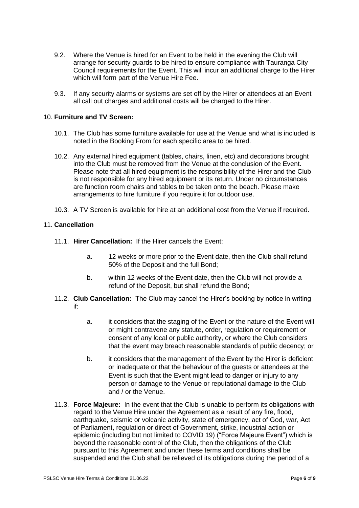- 9.2. Where the Venue is hired for an Event to be held in the evening the Club will arrange for security guards to be hired to ensure compliance with Tauranga City Council requirements for the Event. This will incur an additional charge to the Hirer which will form part of the Venue Hire Fee.
- 9.3. If any security alarms or systems are set off by the Hirer or attendees at an Event all call out charges and additional costs will be charged to the Hirer.

# 10. **Furniture and TV Screen:**

- 10.1. The Club has some furniture available for use at the Venue and what is included is noted in the Booking From for each specific area to be hired.
- 10.2. Any external hired equipment (tables, chairs, linen, etc) and decorations brought into the Club must be removed from the Venue at the conclusion of the Event. Please note that all hired equipment is the responsibility of the Hirer and the Club is not responsible for any hired equipment or its return. Under no circumstances are function room chairs and tables to be taken onto the beach. Please make arrangements to hire furniture if you require it for outdoor use.
- 10.3. A TV Screen is available for hire at an additional cost from the Venue if required.

### 11. **Cancellation**

- 11.1. **Hirer Cancellation:** If the Hirer cancels the Event:
	- a. 12 weeks or more prior to the Event date, then the Club shall refund 50% of the Deposit and the full Bond;
	- b. within 12 weeks of the Event date, then the Club will not provide a refund of the Deposit, but shall refund the Bond;
- 11.2. **Club Cancellation:** The Club may cancel the Hirer's booking by notice in writing if:
	- a. it considers that the staging of the Event or the nature of the Event will or might contravene any statute, order, regulation or requirement or consent of any local or public authority, or where the Club considers that the event may breach reasonable standards of public decency; or
	- b. it considers that the management of the Event by the Hirer is deficient or inadequate or that the behaviour of the guests or attendees at the Event is such that the Event might lead to danger or injury to any person or damage to the Venue or reputational damage to the Club and / or the Venue.
- 11.3. **Force Majeure:** In the event that the Club is unable to perform its obligations with regard to the Venue Hire under the Agreement as a result of any fire, flood, earthquake, seismic or volcanic activity, state of emergency, act of God, war, Act of Parliament, regulation or direct of Government, strike, industrial action or epidemic (including but not limited to COVID 19) ("Force Majeure Event") which is beyond the reasonable control of the Club, then the obligations of the Club pursuant to this Agreement and under these terms and conditions shall be suspended and the Club shall be relieved of its obligations during the period of a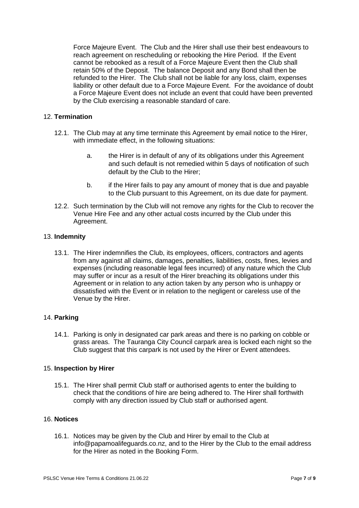Force Majeure Event. The Club and the Hirer shall use their best endeavours to reach agreement on rescheduling or rebooking the Hire Period. If the Event cannot be rebooked as a result of a Force Majeure Event then the Club shall retain 50% of the Deposit. The balance Deposit and any Bond shall then be refunded to the Hirer. The Club shall not be liable for any loss, claim, expenses liability or other default due to a Force Majeure Event. For the avoidance of doubt a Force Majeure Event does not include an event that could have been prevented by the Club exercising a reasonable standard of care.

# 12. **Termination**

- 12.1. The Club may at any time terminate this Agreement by email notice to the Hirer, with immediate effect, in the following situations:
	- a. the Hirer is in default of any of its obligations under this Agreement and such default is not remedied within 5 days of notification of such default by the Club to the Hirer;
	- b. if the Hirer fails to pay any amount of money that is due and payable to the Club pursuant to this Agreement, on its due date for payment.
- 12.2. Such termination by the Club will not remove any rights for the Club to recover the Venue Hire Fee and any other actual costs incurred by the Club under this Agreement.

#### 13. **Indemnity**

13.1. The Hirer indemnifies the Club, its employees, officers, contractors and agents from any against all claims, damages, penalties, liabilities, costs, fines, levies and expenses (including reasonable legal fees incurred) of any nature which the Club may suffer or incur as a result of the Hirer breaching its obligations under this Agreement or in relation to any action taken by any person who is unhappy or dissatisfied with the Event or in relation to the negligent or careless use of the Venue by the Hirer.

# 14. **Parking**

14.1. Parking is only in designated car park areas and there is no parking on cobble or grass areas. The Tauranga City Council carpark area is locked each night so the Club suggest that this carpark is not used by the Hirer or Event attendees.

#### 15. **Inspection by Hirer**

15.1. The Hirer shall permit Club staff or authorised agents to enter the building to check that the conditions of hire are being adhered to. The Hirer shall forthwith comply with any direction issued by Club staff or authorised agent.

# 16. **Notices**

16.1. Notices may be given by the Club and Hirer by email to the Club at info@papamoalifeguards.co.nz, and to the Hirer by the Club to the email address for the Hirer as noted in the Booking Form.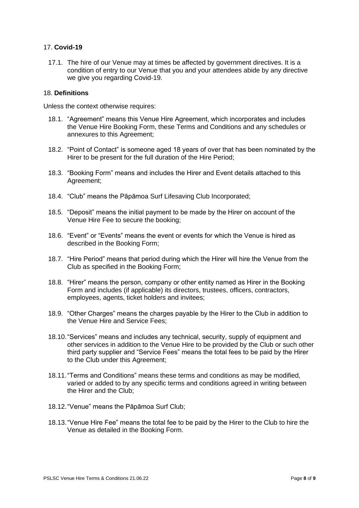# 17. **Covid-19**

17.1. The hire of our Venue may at times be affected by government directives. It is a condition of entry to our Venue that you and your attendees abide by any directive we give you regarding Covid-19.

## 18. **Definitions**

Unless the context otherwise requires:

- 18.1. "Agreement" means this Venue Hire Agreement, which incorporates and includes the Venue Hire Booking Form, these Terms and Conditions and any schedules or annexures to this Agreement;
- 18.2. "Point of Contact" is someone aged 18 years of over that has been nominated by the Hirer to be present for the full duration of the Hire Period:
- 18.3. "Booking Form" means and includes the Hirer and Event details attached to this Agreement;
- 18.4. "Club" means the Pāpāmoa Surf Lifesaving Club Incorporated;
- 18.5. "Deposit" means the initial payment to be made by the Hirer on account of the Venue Hire Fee to secure the booking;
- 18.6. "Event" or "Events" means the event or events for which the Venue is hired as described in the Booking Form;
- 18.7. "Hire Period" means that period during which the Hirer will hire the Venue from the Club as specified in the Booking Form;
- 18.8. "Hirer" means the person, company or other entity named as Hirer in the Booking Form and includes (if applicable) its directors, trustees, officers, contractors, employees, agents, ticket holders and invitees;
- 18.9. "Other Charges" means the charges payable by the Hirer to the Club in addition to the Venue Hire and Service Fees;
- 18.10."Services" means and includes any technical, security, supply of equipment and other services in addition to the Venue Hire to be provided by the Club or such other third party supplier and "Service Fees" means the total fees to be paid by the Hirer to the Club under this Agreement;
- 18.11."Terms and Conditions" means these terms and conditions as may be modified, varied or added to by any specific terms and conditions agreed in writing between the Hirer and the Club;
- 18.12."Venue" means the Pāpāmoa Surf Club;
- 18.13."Venue Hire Fee" means the total fee to be paid by the Hirer to the Club to hire the Venue as detailed in the Booking Form.